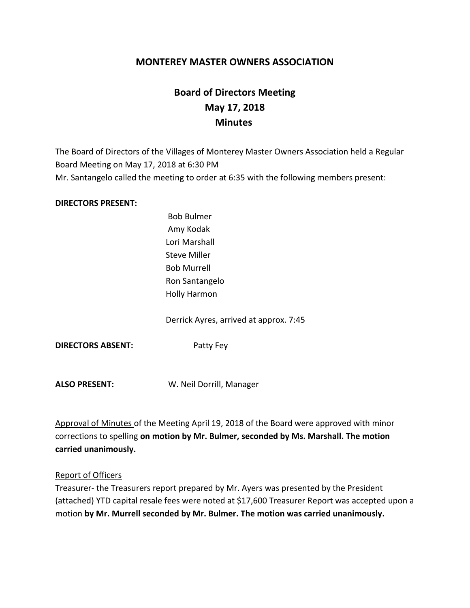# **MONTEREY MASTER OWNERS ASSOCIATION**

# **Board of Directors Meeting May 17, 2018 Minutes**

The Board of Directors of the Villages of Monterey Master Owners Association held a Regular Board Meeting on May 17, 2018 at 6:30 PM Mr. Santangelo called the meeting to order at 6:35 with the following members present:

#### **DIRECTORS PRESENT:**

Bob Bulmer Amy Kodak Lori Marshall Steve Miller Bob Murrell Ron Santangelo Holly Harmon

Derrick Ayres, arrived at approx. 7:45

**DIRECTORS ABSENT:** Patty Fey

**ALSO PRESENT:** W. Neil Dorrill, Manager

Approval of Minutes of the Meeting April 19, 2018 of the Board were approved with minor corrections to spelling **on motion by Mr. Bulmer, seconded by Ms. Marshall. The motion carried unanimously.**

#### Report of Officers

Treasurer- the Treasurers report prepared by Mr. Ayers was presented by the President (attached) YTD capital resale fees were noted at \$17,600 Treasurer Report was accepted upon a motion **by Mr. Murrell seconded by Mr. Bulmer. The motion was carried unanimously.**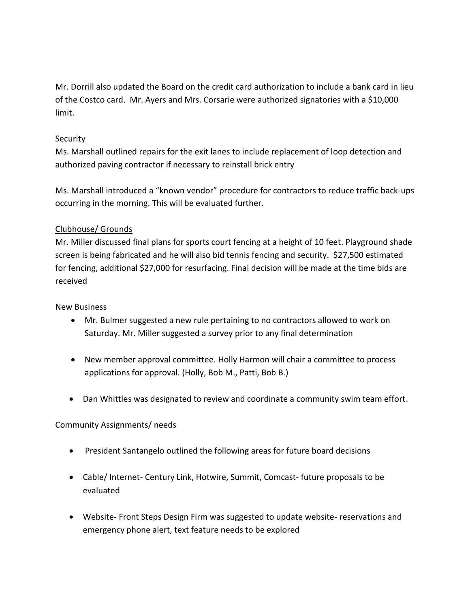Mr. Dorrill also updated the Board on the credit card authorization to include a bank card in lieu of the Costco card. Mr. Ayers and Mrs. Corsarie were authorized signatories with a \$10,000 limit.

## **Security**

Ms. Marshall outlined repairs for the exit lanes to include replacement of loop detection and authorized paving contractor if necessary to reinstall brick entry

Ms. Marshall introduced a "known vendor" procedure for contractors to reduce traffic back-ups occurring in the morning. This will be evaluated further.

## Clubhouse/ Grounds

Mr. Miller discussed final plans for sports court fencing at a height of 10 feet. Playground shade screen is being fabricated and he will also bid tennis fencing and security. \$27,500 estimated for fencing, additional \$27,000 for resurfacing. Final decision will be made at the time bids are received

#### New Business

- Mr. Bulmer suggested a new rule pertaining to no contractors allowed to work on Saturday. Mr. Miller suggested a survey prior to any final determination
- New member approval committee. Holly Harmon will chair a committee to process applications for approval. (Holly, Bob M., Patti, Bob B.)
- Dan Whittles was designated to review and coordinate a community swim team effort.

# Community Assignments/ needs

- President Santangelo outlined the following areas for future board decisions
- Cable/ Internet- Century Link, Hotwire, Summit, Comcast- future proposals to be evaluated
- Website- Front Steps Design Firm was suggested to update website- reservations and emergency phone alert, text feature needs to be explored